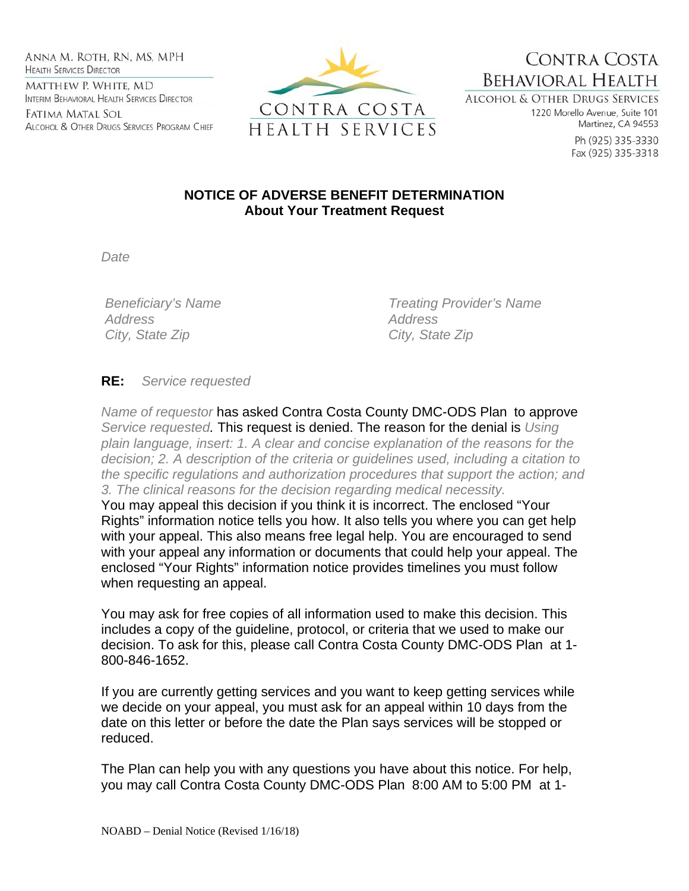Anna M. Roth, RN, MS, MPH **HEALTH SERVICES DIRECTOR** MATTHEW P. WHITE, MD INTERIM BEHAVIORAL HEALTH SERVICES DIRECTOR

Fatima Matal Sol ALCOHOL & OTHER DRUGS SERVICES PROGRAM CHIEF



CONTRA COSTA **BEHAVIORAL HEALTH** 

ALCOHOL & OTHER DRUGS SERVICES 1220 Morello Avenue, Suite 101 Martinez, CA 94553

> Ph (925) 335-3330 Fax (925) 335-3318

## **NOTICE OF ADVERSE BENEFIT DETERMINATION About Your Treatment Request**

*Date* 

 *Address Address City, State Zip City, State Zip* 

 *Beneficiary's Name Treating Provider's Name* 

## **RE:** *Service requested*

*Name of requestor* has asked Contra Costa County DMC-ODS Plan to approve *Service requested.* This request is denied. The reason for the denial is *Using plain language, insert: 1. A clear and concise explanation of the reasons for the decision; 2. A description of the criteria or guidelines used, including a citation to the specific regulations and authorization procedures that support the action; and 3. The clinical reasons for the decision regarding medical necessity.*  You may appeal this decision if you think it is incorrect. The enclosed "Your

Rights" information notice tells you how. It also tells you where you can get help with your appeal. This also means free legal help. You are encouraged to send with your appeal any information or documents that could help your appeal. The enclosed "Your Rights" information notice provides timelines you must follow when requesting an appeal.

You may ask for free copies of all information used to make this decision. This includes a copy of the guideline, protocol, or criteria that we used to make our decision. To ask for this, please call Contra Costa County DMC-ODS Plan at 1- 800-846-1652.

If you are currently getting services and you want to keep getting services while we decide on your appeal, you must ask for an appeal within 10 days from the date on this letter or before the date the Plan says services will be stopped or reduced.

The Plan can help you with any questions you have about this notice. For help, you may call Contra Costa County DMC-ODS Plan 8:00 AM to 5:00 PM at 1